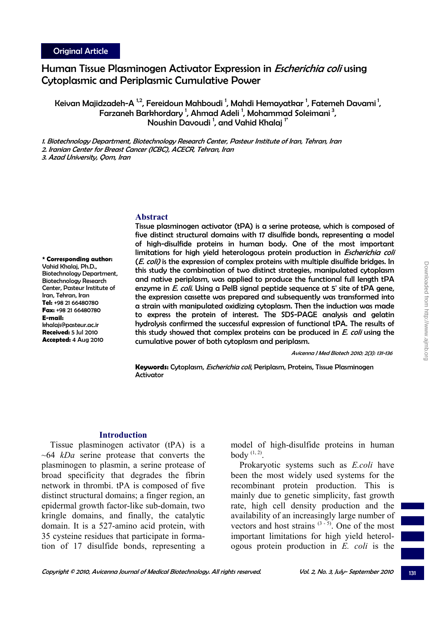# Human Tissue Plasminogen Activator Expression in Escherichia coli using Cytoplasmic and Periplasmic Cumulative Power

Keivan Majidzadeh-A  $^{\rm 1,2}$ , Fereidoun Mahboudi <sup>1</sup>, Mahdi Hemayatkar <sup>1</sup>, Fatemeh Davami <sup>1</sup>, Farzaneh Barkhordary<sup>1</sup>, Ahmad Adeli<sup>1</sup>, Mohammad Soleimani<sup>3</sup>, Noushin Davoudi<sup>1</sup>, and Vahid Khalaj<sup>1\*</sup>

1. Biotechnology Department, Biotechnology Research Center, Pasteur Institute of Iran, Tehran, Iran 2. Iranian Center for Breast Cancer (ICBC), ACECR, Tehran, Iran

3. Azad University, Qom, Iran

#### **Abstract**

**\* Corresponding author:**  Vahid Khalaj, Ph.D., Biotechnology Department, Biotechnology Research Center, Pasteur Institute of Iran, Tehran, Iran **Tel:** +98 21 66480780 **Fax:** +98 21 66480780 **E-mail:**  khalajs@pasteur.ac.ir **Received:** 5 Jul 2010 **Accepted:** 4 Aug 2010

Tissue plasminogen activator (tPA) is a serine protease, which is composed of five distinct structural domains with 17 disulfide bonds, representing a model of high-disulfide proteins in human body. One of the most important limitations for high yield heterologous protein production in *Escherichia coli* (E. coli) is the expression of complex proteins with multiple disulfide bridges. In this study the combination of two distinct strategies, manipulated cytoplasm and native periplasm, was applied to produce the functional full length tPA enzyme in *E. coli*. Using a PelB signal peptide sequence at 5' site of tPA gene, the expression cassette was prepared and subsequently was transformed into a strain with manipulated oxidizing cytoplasm. Then the induction was made to express the protein of interest. The SDS-PAGE analysis and gelatin hydrolysis confirmed the successful expression of functional tPA. The results of this study showed that complex proteins can be produced in E. coli using the cumulative power of both cytoplasm and periplasm.

Avicenna J Med Biotech 2010; 2(3): 131-136

**Keywords:** Cytoplasm, Escherichia coli, Periplasm, Proteins, Tissue Plasminogen **Activator** 

## **Introduction**

Tissue plasminogen activator (tPA) is a ~64 *kDa* serine protease that converts the plasminogen to plasmin, a serine protease of broad specificity that degrades the fibrin network in thrombi. tPA is composed of five distinct structural domains; a finger region, an epidermal growth factor-like sub-domain, two kringle domains, and finally, the catalytic domain. It is a 527-amino acid protein, with 35 cysteine residues that participate in formation of 17 disulfide bonds, representing a

model of high-disulfide proteins in human body  $(1, 2)$ .

Prokaryotic systems such as *E.coli* have been the most widely used systems for the recombinant protein production. This is mainly due to genetic simplicity, fast growth rate, high cell density production and the availability of an increasingly large number of vectors and host strains  $(3-5)$ . One of the most important limitations for high yield heterologous protein production in *E. coli* is the

131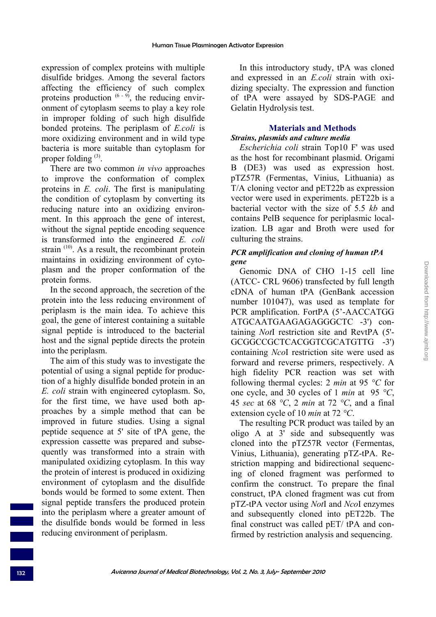expression of complex proteins with multiple disulfide bridges. Among the several factors affecting the efficiency of such complex proteins production  $(6 - 9)$ , the reducing environment of cytoplasm seems to play a key role in improper folding of such high disulfide bonded proteins. The periplasm of *E.coli* is more oxidizing environment and in wild type bacteria is more suitable than cytoplasm for proper folding  $(3)$ .

There are two common *in vivo* approaches to improve the conformation of complex proteins in *E. coli*. The first is manipulating the condition of cytoplasm by converting its reducing nature into an oxidizing environment. In this approach the gene of interest, without the signal peptide encoding sequence is transformed into the engineered *E. coli*  strain  $(10)$ . As a result, the recombinant protein maintains in oxidizing environment of cytoplasm and the proper conformation of the protein forms.

In the second approach, the secretion of the protein into the less reducing environment of periplasm is the main idea. To achieve this goal, the gene of interest containing a suitable signal peptide is introduced to the bacterial host and the signal peptide directs the protein into the periplasm.

The aim of this study was to investigate the potential of using a signal peptide for production of a highly disulfide bonded protein in an *E. coli* strain with engineered cytoplasm. So, for the first time, we have used both approaches by a simple method that can be improved in future studies. Using a signal peptide sequence at 5' site of tPA gene, the expression cassette was prepared and subsequently was transformed into a strain with manipulated oxidizing cytoplasm. In this way the protein of interest is produced in oxidizing environment of cytoplasm and the disulfide bonds would be formed to some extent. Then signal peptide transfers the produced protein into the periplasm where a greater amount of the disulfide bonds would be formed in less reducing environment of periplasm.

In this introductory study, tPA was cloned and expressed in an *E.coli* strain with oxidizing specialty. The expression and function of tPA were assayed by SDS-PAGE and Gelatin Hydrolysis test.

## **Materials and Methods** *Strains, plasmids and culture media*

*Escherichia coli* strain Top10 F' was used as the host for recombinant plasmid. Origami B (DE3) was used as expression host. pTZ57R (Fermentas, Vinius, Lithuania) as T/A cloning vector and pET22b as expression vector were used in experiments. pET22b is a bacterial vector with the size of 5.5 *kb* and contains PelB sequence for periplasmic localization. LB agar and Broth were used for culturing the strains.

## *PCR amplification and cloning of human tPA gene*

Genomic DNA of CHO 1-15 cell line (ATCC- CRL 9606) transfected by full length cDNA of human tPA (GenBank accession number 101047), was used as template for PCR amplification. FortPA (5'-AACCATGG ATGCAATGAAGAGAGGGCTC -3') containing *Not*I restriction site and RevtPA (5'- GCGGCCGCTCACGGTCGCATGTTG -3') containing *Nco*I restriction site were used as forward and reverse primers, respectively. A high fidelity PCR reaction was set with following thermal cycles: 2 *min* at 95 *°C* for one cycle, and 30 cycles of 1 *min* at 95 *°C*, 45 *sec* at 68 *°C*, 2 *min* at 72 *°C*, and a final extension cycle of 10 *min* at 72 *°C*.

The resulting PCR product was tailed by an oligo A at 3' side and subsequently was cloned into the pTZ57R vector (Fermentas, Vinius, Lithuania), generating pTZ-tPA. Restriction mapping and bidirectional sequencing of cloned fragment was performed to confirm the construct. To prepare the final construct, tPA cloned fragment was cut from pTZ-tPA vector using *Not*I and *Nco*I enzymes and subsequently cloned into pET22b. The final construct was called pET/ tPA and confirmed by restriction analysis and sequencing.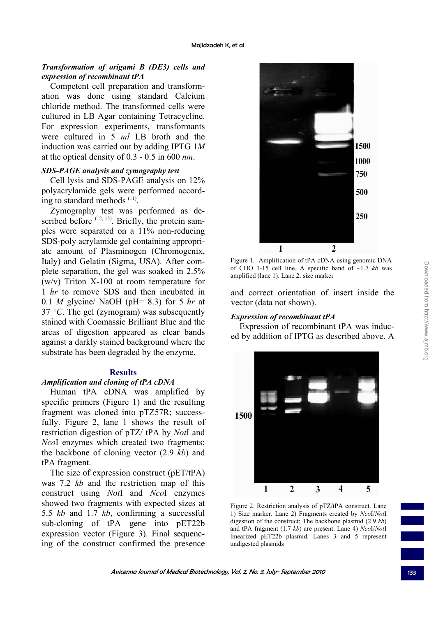## *Transformation of origami B (DE3) cells and expression of recombinant tPA*

Competent cell preparation and transformation was done using standard Calcium chloride method. The transformed cells were cultured in LB Agar containing Tetracycline. For expression experiments, transformants were cultured in 5 *ml* LB broth and the induction was carried out by adding IPTG 1*M* at the optical density of 0.3 - 0.5 in 600 *nm*.

#### *SDS-PAGE analysis and zymography test*

Cell lysis and SDS-PAGE analysis on 12% polyacrylamide gels were performed according to standard methods  $(11)$ .

Zymography test was performed as described before  $(12, 13)$ . Briefly, the protein samples were separated on a 11% non-reducing SDS-poly acrylamide gel containing appropriate amount of Plasminogen (Chromogenix, Italy) and Gelatin (Sigma, USA). After complete separation, the gel was soaked in 2.5% (w/v) Triton X-100 at room temperature for 1 *hr* to remove SDS and then incubated in 0.1 *M* glycine/ NaOH (pH= 8.3) for 5 *hr* at 37 *°C*. The gel (zymogram) was subsequently stained with Coomassie Brilliant Blue and the areas of digestion appeared as clear bands against a darkly stained background where the substrate has been degraded by the enzyme.

### **Results**

#### *Amplification and cloning of tPA cDNA*

Human tPA cDNA was amplified by specific primers (Figure 1) and the resulting fragment was cloned into pTZ57R; successfully. Figure 2, lane 1 shows the result of restriction digestion of pTZ/ tPA by *Not*I and *Nco*I enzymes which created two fragments; the backbone of cloning vector (2.9 *kb*) and tPA fragment.

The size of expression construct (pET/tPA) was 7.2 *kb* and the restriction map of this construct using *Not*I and *Nco*I enzymes showed two fragments with expected sizes at 5.5 *kb* and 1.7 *kb*, confirming a successful sub-cloning of tPA gene into pET22b expression vector (Figure 3). Final sequencing of the construct confirmed the presence



Figure 1. Amplification of tPA cDNA using genomic DNA of CHO 1-15 cell line. A specific band of ~1.7 *kb* was amplified (lane 1). Lane 2: size marker

and correct orientation of insert inside the vector (data not shown).

#### *Expression of recombinant tPA*

Expression of recombinant tPA was induced by addition of IPTG as described above. A



Figure 2. Restriction analysis of pTZ/tPA construct. Lane 1) Size marker. Lane 2) Fragments created by *Nco*I/*Not*I digestion of the construct; The backbone plasmid (2.9 *kb*) and tPA fragment (1.7 *kb*) are present. Lane 4) *Nco*I/*Not*I linearized pET22b plasmid. Lanes 3 and 5 represent undigested plasmids

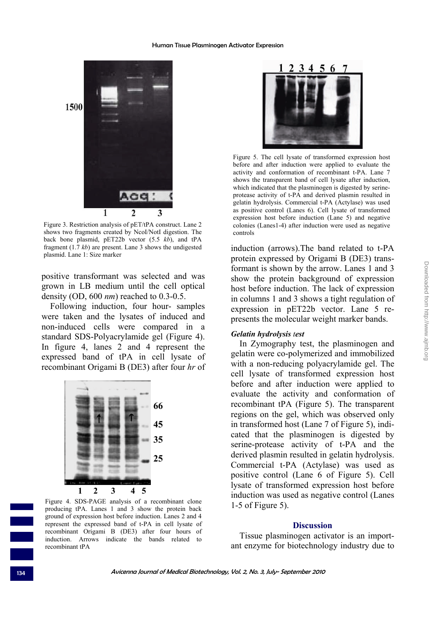

Figure 3. Restriction analysis of pET/tPA construct. Lane 2 shows two fragments created by NcoI/NotI digestion. The back bone plasmid, pET22b vector (5.5 *kb*), and tPA fragment (1.7 *kb*) are present. Lane 3 shows the undigested plasmid. Lane 1: Size marker

positive transformant was selected and was grown in LB medium until the cell optical density (OD, 600 *nm*) reached to 0.3-0.5.

Following induction, four hour- samples were taken and the lysates of induced and non-induced cells were compared in a standard SDS-Polyacrylamide gel (Figure 4). In figure 4, lanes 2 and 4 represent the expressed band of tPA in cell lysate of recombinant Origami B (DE3) after four *hr* of



Figure 4. SDS-PAGE analysis of a recombinant clone producing tPA. Lanes 1 and 3 show the protein back ground of expression host before induction. Lanes 2 and 4 represent the expressed band of t-PA in cell lysate of recombinant Origami B (DE3) after four hours of induction. Arrows indicate the bands related to recombinant tPA



Figure 5. The cell lysate of transformed expression host before and after induction were applied to evaluate the activity and conformation of recombinant t-PA. Lane 7 shows the transparent band of cell lysate after induction, which indicated that the plasminogen is digested by serineprotease activity of t-PA and derived plasmin resulted in gelatin hydrolysis. Commercial t-PA (Actylase) was used as positive control (Lanes 6). Cell lysate of transformed expression host before induction (Lane 5) and negative colonies (Lanes1-4) after induction were used as negative controls

induction (arrows).The band related to t-PA protein expressed by Origami B (DE3) transformant is shown by the arrow. Lanes 1 and 3 show the protein background of expression host before induction. The lack of expression in columns 1 and 3 shows a tight regulation of expression in pET22b vector. Lane 5 represents the molecular weight marker bands.

## *Gelatin hydrolysis test*

In Zymography test, the plasminogen and gelatin were co-polymerized and immobilized with a non-reducing polyacrylamide gel. The cell lysate of transformed expression host before and after induction were applied to evaluate the activity and conformation of recombinant tPA (Figure 5). The transparent regions on the gel, which was observed only in transformed host (Lane 7 of Figure 5), indicated that the plasminogen is digested by serine-protease activity of t-PA and the derived plasmin resulted in gelatin hydrolysis. Commercial t-PA (Actylase) was used as positive control (Lane 6 of Figure 5). Cell lysate of transformed expression host before induction was used as negative control (Lanes 1-5 of Figure 5).

#### **Discussion**

Tissue plasminogen activator is an important enzyme for biotechnology industry due to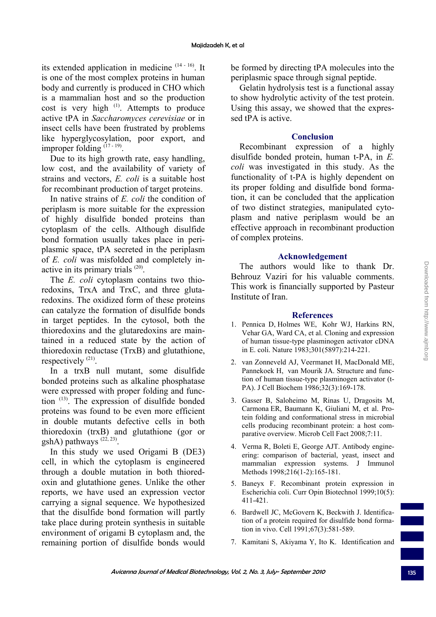its extended application in medicine  $(14 - 16)$ . It is one of the most complex proteins in human body and currently is produced in CHO which is a mammalian host and so the production cost is very high <sup>(1)</sup>. Attempts to produce active tPA in *Saccharomyces cerevisiae* or in insect cells have been frustrated by problems like hyperglycosylation, poor export, and improper folding  $(17 - 19)$ .

Due to its high growth rate, easy handling, low cost, and the availability of variety of strains and vectors, *E. coli* is a suitable host for recombinant production of target proteins.

In native strains of *E. coli* the condition of periplasm is more suitable for the expression of highly disulfide bonded proteins than cytoplasm of the cells. Although disulfide bond formation usually takes place in periplasmic space, tPA secreted in the periplasm of *E. coli* was misfolded and completely inactive in its primary trials (20).

The *E. coli* cytoplasm contains two thioredoxins, TrxA and TrxC, and three glutaredoxins. The oxidized form of these proteins can catalyze the formation of disulfide bonds in target peptides. In the cytosol, both the thioredoxins and the glutaredoxins are maintained in a reduced state by the action of thioredoxin reductase (TrxB) and glutathione, respectively <sup>(21)</sup>.

In a trxB null mutant, some disulfide bonded proteins such as alkaline phosphatase were expressed with proper folding and function (13). The expression of disulfide bonded proteins was found to be even more efficient in double mutants defective cells in both thioredoxin (trxB) and glutathione (gor or gshA) pathways  $(22, 23)$ .

In this study we used Origami B (DE3) cell, in which the cytoplasm is engineered through a double mutation in both thioredoxin and glutathione genes. Unlike the other reports, we have used an expression vector carrying a signal sequence. We hypothesized that the disulfide bond formation will partly take place during protein synthesis in suitable environment of origami B cytoplasm and, the remaining portion of disulfide bonds would be formed by directing tPA molecules into the periplasmic space through signal peptide.

Gelatin hydrolysis test is a functional assay to show hydrolytic activity of the test protein. Using this assay, we showed that the expressed tPA is active.

## **Conclusion**

Recombinant expression of a highly disulfide bonded protein, human t-PA, in *E. coli* was investigated in this study. As the functionality of t-PA is highly dependent on its proper folding and disulfide bond formation, it can be concluded that the application of two distinct strategies, manipulated cytoplasm and native periplasm would be an effective approach in recombinant production of complex proteins.

## **Acknowledgement**

The authors would like to thank Dr. Behrouz Vaziri for his valuable comments. This work is financially supported by Pasteur Institute of Iran.

## **References**

- 1. Pennica D, Holmes WE, Kohr WJ, Harkins RN, Vehar GA, Ward CA, et al. Cloning and expression of human tissue-type plasminogen activator cDNA in E. coli. Nature 1983;301(5897):214-221.
- 2. van Zonneveld AJ, Veermanet H, MacDonald ME, Pannekoek H, van Mourik JA. Structure and function of human tissue-type plasminogen activator (t-PA). J Cell Biochem 1986;32(3):169-178.
- 3. Gasser B, Saloheimo M, Rinas U, Dragosits M, Carmona ER, Baumann K, Giuliani M, et al. Protein folding and conformational stress in microbial cells producing recombinant protein: a host comparative overview. Microb Cell Fact 2008;7:11.
- 4. Verma R, Boleti E, George AJT. Antibody engineering: comparison of bacterial, yeast, insect and mammalian expression systems. J Immunol Methods 1998;216(1-2):165-181.
- 5. Baneyx F. Recombinant protein expression in Escherichia coli. Curr Opin Biotechnol 1999;10(5): 411-421.
- 6. Bardwell JC, McGovern K, Beckwith J. Identification of a protein required for disulfide bond formation in vivo. Cell 1991;67(3):581-589.
- 7. Kamitani S, Akiyama Y, Ito K. Identification and